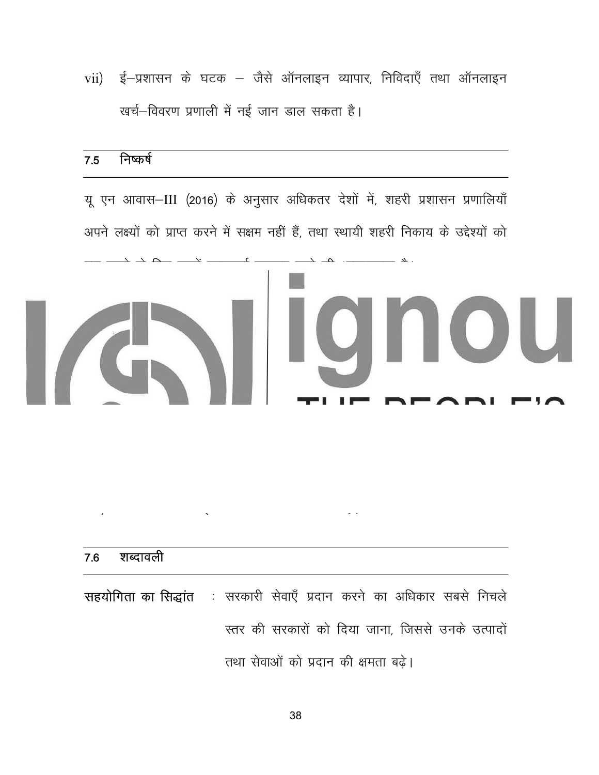ई–प्रशासन के घटक – जैसे ऑनलाइन व्यापार, निविदाएँ तथा ऑनलाइन  $vii)$ खर्च–विवरण प्रणाली में नई जान डाल सकता है।

## निष्कर्ष  $7.5$

यू एन आवास–III (2016) के अनुसार अधिकतर देशों में, शहरी प्रशासन प्रणालियाँ अपने लक्ष्यों को प्राप्त करने में सक्षम नहीं हैं, तथा स्थायी शहरी निकाय के उद्देश्यों को पूरा करने के लिए उनमें महत्वपूर्ण बदलाव लाने की आवश्यकता है।

चौहत्तरवें संविधान संशोधन में यह प्रावधान है कि स्वायत्त शाक्षी संस्थानों के रूप विकसित होने तथा लक्ष्यों को पूरा करने में सक्षम होने के लिए यह आवश्यक है कि उनकी शक्तियों का हस्तांतरण किया जाये। यद्यपि, इन निकायों के सामने कार्यों, कार्मिकों तथा वित्त से जुड़ी अनेक प्रकार की समस्याएँ हैं। इन निकायों की वर्तमान स्थिति तथा उनके कारणों का इस इकाई में वर्णन किया गया है। इन निकायों को और अधिक शक्तियाँ प्रदान करने की आवश्यकता बढ़ती जा रही है। इसे पूरा करने के लिए सशक्त राजनैतिक इच्छा शक्ति की आवश्यकता है।

## शब्दावली 7.6 : सरकारी सेवाएँ प्रदान करने का अधिकार सबसे निचले सहयोगिता का सिद्धांत स्तर की सरकारों को दिया जाना, जिससे उनके उत्पादों तथा सेवाओं को प्रदान की क्षमता बढ़े।

38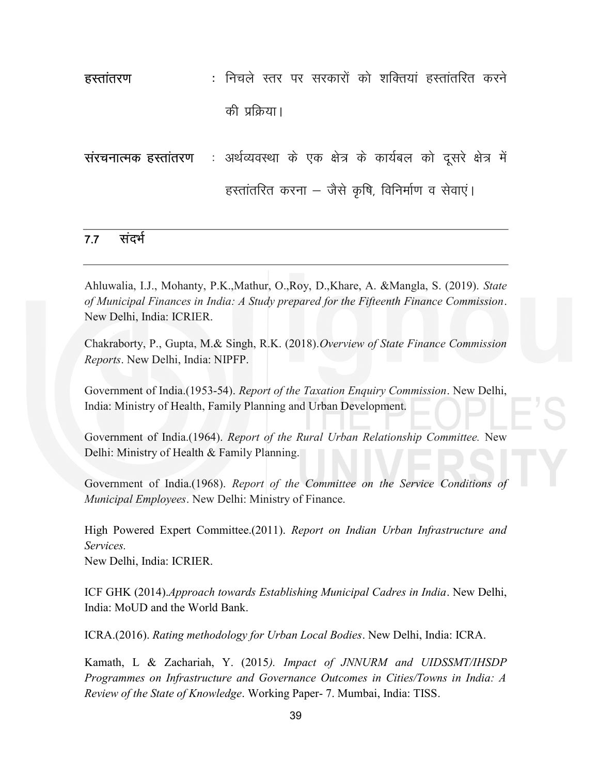gLrkarj.k % fupys Lrj ij ljdkjksa dks 'kfDr;ka gLrkarfjr dju s की प्रक्रिया।

संरचनात्मक हस्तांतरण : अर्थव्यवस्था के एक क्षेत्र के कार्यबल को दूसरे क्षेत्र में हस्तांतरित करना – जैसे कृषि, विनिर्माण व सेवाएं।

## 7.7 संदर्भ

Ahluwalia, I.J., Mohanty, P.K.,Mathur, O.,Roy, D.,Khare, A. &Mangla, S. (2019). State of Municipal Finances in India: A Study prepared for the Fifteenth Finance Commission. New Delhi, India: ICRIER.

Chakraborty, P., Gupta, M.& Singh, R.K. (2018).Overview of State Finance Commission Reports. New Delhi, India: NIPFP.

Government of India.(1953-54). Report of the Taxation Enquiry Commission. New Delhi, India: Ministry of Health, Family Planning and Urban Development.

Government of India.(1964). Report of the Rural Urban Relationship Committee. New Delhi: Ministry of Health & Family Planning.

Government of India.(1968). Report of the Committee on the Service Conditions of Municipal Employees. New Delhi: Ministry of Finance.

High Powered Expert Committee.(2011). Report on Indian Urban Infrastructure and Services.

New Delhi, India: ICRIER.

ICF GHK (2014).Approach towards Establishing Municipal Cadres in India. New Delhi, India: MoUD and the World Bank.

ICRA.(2016). Rating methodology for Urban Local Bodies. New Delhi, India: ICRA.

Kamath, L & Zachariah, Y. (2015). Impact of JNNURM and UIDSSMT/IHSDP Programmes on Infrastructure and Governance Outcomes in Cities/Towns in India: A Review of the State of Knowledge. Working Paper- 7. Mumbai, India: TISS.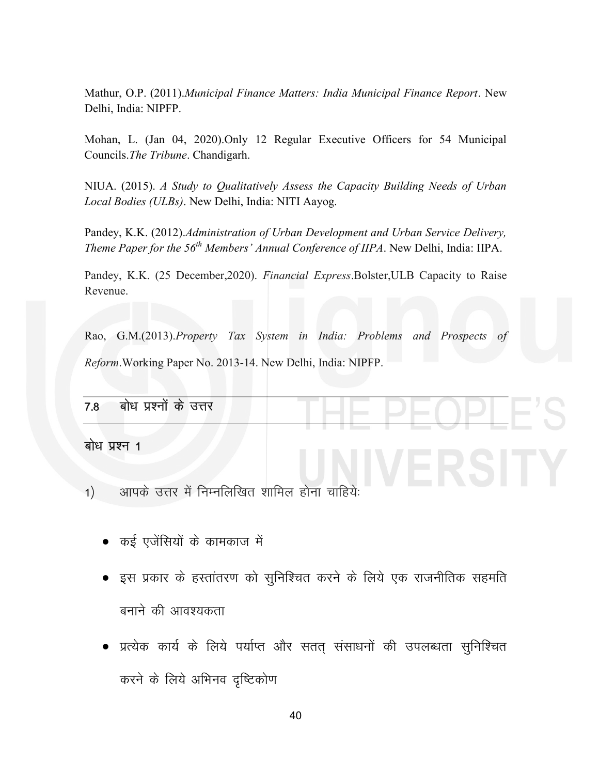Mathur, O.P. (2011).Municipal Finance Matters: India Municipal Finance Report. New Delhi, India: NIPFP.

Mohan, L. (Jan 04, 2020).Only 12 Regular Executive Officers for 54 Municipal Councils.The Tribune. Chandigarh.

NIUA. (2015). A Study to Qualitatively Assess the Capacity Building Needs of Urban Local Bodies (ULBs). New Delhi, India: NITI Aayog.

Pandey, K.K. (2012).Administration of Urban Development and Urban Service Delivery, Theme Paper for the  $56<sup>th</sup>$  Members' Annual Conference of IIPA. New Delhi, India: IIPA.

Pandey, K.K. (25 December,2020). Financial Express.Bolster,ULB Capacity to Raise Revenue.

Rao, G.M.(2013).Property Tax System in India: Problems and Prospects of Reform.Working Paper No. 2013-14. New Delhi, India: NIPFP.

| बोध प्रश्नों के उत्तर<br>7.8 |  |
|------------------------------|--|

बोध प्रश्न 1

- 1) अापके उत्तर में निम्नलिखित शामिल होना चाहियेः
	- कई एजेंसियों के कामकाज में
	- इस प्रकार के हस्तांतरण को सुनिश्चित करने के लिये एक राजनीतिक सहमति बनाने की आवश्यकता
	- प्रत्येक कार्य के लिये पर्याप्त और सतत संसाधनों की उपलब्धता सुनिश्चित करने के लिये अभिनव दृष्टिकोण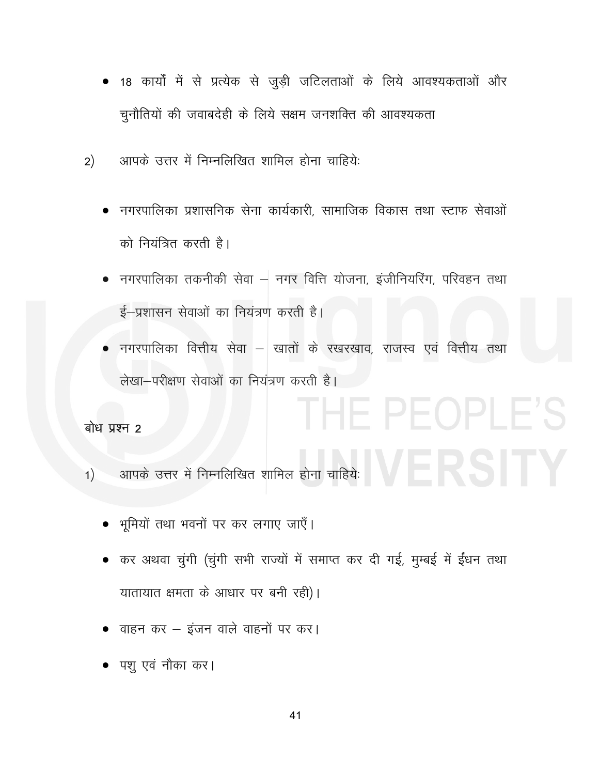- 18 कार्यों में से प्रत्येक से जुड़ी जटिलताओं के लिये आवश्यकताओं और चुनौतियों की जवाबदेही के लिये सक्षम जनशक्ति की आवश्यकता
- आपके उत्तर में निम्नलिखित शामिल होना चाहिये:  $2)$ 
	- नगरपालिका प्रशासनिक सेना कार्यकारी. सामाजिक विकास तथा स्टाफ सेवाओं को नियंत्रित करती है।
	- नगरपालिका तकनीकी सेवा नगर वित्ति योजना, इंजीनियरिंग, परिवहन तथा ई-प्रशासन सेवाओं का नियंत्रण करती है।
	- नगरपालिका वित्तीय सेवा खातों के रखरखाव, राजस्व एवं वित्तीय तथा लेखा-परीक्षण सेवाओं का नियंत्रण करती है।

THE PEOPLE'S

बोध प्रश्न 2

- आपके उत्तर में निम्नलिखित शामिल होना चाहियेः<br>प्राप्त के पार के बाद के बाद करने के बाद करने के बाद करने के बाद करने के बाद करने के बाद करने के बाद करने के ब  $1)$ 
	- भूमियों तथा भवनों पर कर लगाए जाएँ।
	- कर अथवा चुंगी (चुंगी सभी राज्यों में समाप्त कर दी गई, मुम्बई में ईंधन तथा यातायात क्षमता के आधार पर बनी रही)।
	- वाहन कर इंजन वाले वाहनों पर कर।
	- पशु एवं नौका कर।